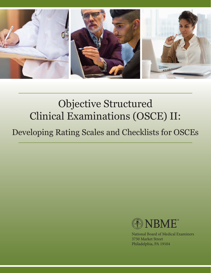

# Objective Structured Clinical Examinations (OSCE) II:

## Developing Rating Scales and Checklists for OSCEs



National Board of Medical Examiners 3750 Market Street Philadelphia, PA 19104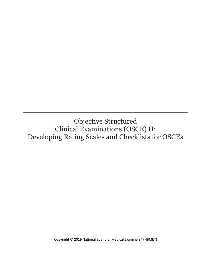Objective Structured Clinical Examinations (OSCE) II: Developing Rating Scales and Checklists for OSCEs

Copyright © 2019 National Boar d of Medical Examiners® (NBME®)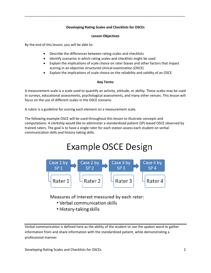#### **Developing Rating Scales and Checklists for OSCEs**

\_\_\_\_\_\_\_\_\_\_\_\_\_\_\_\_\_\_\_\_\_\_\_\_\_\_\_\_\_\_\_\_\_\_\_\_\_\_\_\_\_\_\_\_\_\_\_\_\_\_\_\_\_\_\_\_\_\_\_\_\_\_\_\_\_\_\_\_\_\_\_\_\_\_\_\_\_\_\_\_\_\_\_\_\_

#### **Lesson Objectives**

By the end of this lesson, you will be able to:

- Describe the differences between rating scales and checklists
- Identify scenarios in which rating scales and checklists might be used
- Explain the implications of scale choice on rater biases and other factors that impact scoring in an objective structured clinical examination (OSCE)
- Explain the implications of scale choice on the reliability and validity of an OSCE

#### **Key Terms**

A measurement scale is a scale used to quantify an activity, attitude, or ability. These scales may be used in surveys, educational assessments, psychological assessments, and many other venues. This lesson will focus on the use of different scales in the OSCE scenario.

A rubric is a guideline for scoring each element on a measurement scale.

The following example OSCE will be used throughout this lesson to illustrate concepts and computations: A clerkship would like to administer a standardized patient (SP)-based OSCE observed by trained raters. The goal is to have a single rater for each station assess each student on verbal communication skills and history-taking skills.

## Example OSCE Design



Measures of interest measured by each rater:

- Verbal communication skills
- History-taking skills

Verbal communication is defined here as the ability of the student to use the spoken word to gather information from and share information with the standardized patient, while demonstrating a professional manner.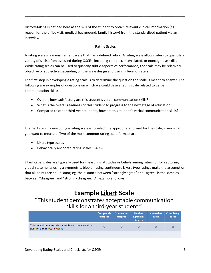History-taking is defined here as the skill of the student to obtain relevant clinical information (eg, reason for the office visit, medical background, family history) from the standardized patient via an interview.

#### **Rating Scales**

\_\_\_\_\_\_\_\_\_\_\_\_\_\_\_\_\_\_\_\_\_\_\_\_\_\_\_\_\_\_\_\_\_\_\_\_\_\_\_\_\_\_\_\_\_\_\_\_\_\_\_\_\_\_\_\_\_\_\_\_\_\_\_\_\_\_\_\_\_\_\_\_\_\_\_\_\_\_\_\_\_\_\_\_\_

A rating scale is a measurement scale that has a defined rubric. A rating scale allows raters to quantify a variety of skills often assessed during OSCEs, including complex, interrelated, or noncognitive skills. While rating scales can be used to quantify subtle aspects of performance, the scale may be relatively objective or subjective depending on the scale design and training level of raters.

The first step in developing a rating scale is to determine the question the scale is meant to answer. The following are examples of questions on which we could base a rating scale related to verbal communication skills:

- Overall, how satisfactory are this student's verbal communication skills?
- What is the overall readiness of this student to progress to the next stage of education?
- Compared to other third-year students, how are this student's verbal communication skills?

The next step in developing a rating scale is to select the appropriate format for the scale, given what you want to measure. Two of the most common rating scale formats are:

- Likert-type scales
- Behaviorally anchored rating scales (BARS)

Likert-type scales are typically used for measuring attitudes or beliefs among raters, or for capturing global statements using a symmetric, bipolar rating continuum. Likert-type ratings make the assumption that all points are equidistant; eg, the distance between "strongly agree" and "agree" is the same as between "disagree" and "strongly disagree." An example follows:

### **Example Likert Scale**

"This student demonstrates acceptable communication skills for a third-year student."

|                                                                                       | <b>Completely</b><br>disagree | Somewhat<br>disagree | <b>Neither</b><br>agree nor<br>disagree | Somewhat<br>agree | Completely<br>agree |
|---------------------------------------------------------------------------------------|-------------------------------|----------------------|-----------------------------------------|-------------------|---------------------|
| This student demonstrates acceptable communication<br>skills for a third-year student |                               | $\Omega$             | $\circ$                                 |                   | Ο                   |
|                                                                                       |                               |                      |                                         |                   |                     |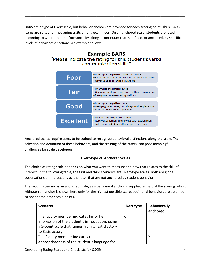BARS are a type of Likert scale, but behavior anchors are provided for each scoring point. Thus, BARS items are suited for measuring traits among examinees. On an anchored scale, students are rated according to where their performance lies along a continuum that is defined, or anchored, by specific levels of behaviors or actions. An example follows:

\_\_\_\_\_\_\_\_\_\_\_\_\_\_\_\_\_\_\_\_\_\_\_\_\_\_\_\_\_\_\_\_\_\_\_\_\_\_\_\_\_\_\_\_\_\_\_\_\_\_\_\_\_\_\_\_\_\_\_\_\_\_\_\_\_\_\_\_\_\_\_\_\_\_\_\_\_\_\_\_\_\_\_\_\_

#### **Example BARS** "Please indicate the rating for this student's verbal communication skills"

| Poor             | . Interrupts the patient more than twice<br>. Excessive use of jargon with no explanations given<br>. Never uses open-ended questions |
|------------------|---------------------------------------------------------------------------------------------------------------------------------------|
| Fair             | . Interrupts the patient twice<br>. Uses jargon often, sometimes without explanation<br>• Rarely uses open-ended questions            |
| Good             | . Interrupts the patient once<br>. Uses jargon at times, but always with explanation<br>• Asks one open-ended question                |
| <b>Excellent</b> | • Does not interrupt the patient<br>. Rarely uses jargon, and always with explanation<br>• Asks open-ended questions more than once   |

Anchored scales require users to be trained to recognize behavioral distinctions along the scale. The selection and definition of these behaviors, and the training of the raters, can pose meaningful challenges for scale developers.

#### **Likert-type vs. Anchored Scales**

The choice of rating scale depends on what you want to measure and how that relates to the skill of interest. In the following table, the first and third scenarios are Likert-type scales. Both are global observations or impressions by the rater that are not anchored by student behavior.

The second scenario is an anchored scale, as a behavioral anchor is supplied as part of the scoring rubric. Although an anchor is shown here only for the highest possible score, additional behaviors are assumed to anchor the other scale points.

| <b>Scenario</b>                                 | Likert type | <b>Behaviorally</b><br>anchored |
|-------------------------------------------------|-------------|---------------------------------|
| The faculty member indicates his or her         | x           |                                 |
| impression of the student's introduction, using |             |                                 |
| a 5-point scale that ranges from Unsatisfactory |             |                                 |
| to Satisfactory.                                |             |                                 |
| The faculty member indicates the                |             | х                               |
| appropriateness of the student's language for   |             |                                 |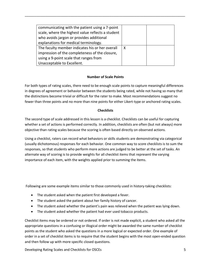| communicating with the patient using a 7-point    |   |  |
|---------------------------------------------------|---|--|
| scale, where the highest value reflects a student |   |  |
| who avoids jargon or provides additional          |   |  |
| explanations for medical terminology.             |   |  |
| The faculty member indicates his or her overall   | X |  |
| impression of the completeness of the closure,    |   |  |
| using a 9-point scale that ranges from            |   |  |
| Unacceptable to Excellent.                        |   |  |

\_\_\_\_\_\_\_\_\_\_\_\_\_\_\_\_\_\_\_\_\_\_\_\_\_\_\_\_\_\_\_\_\_\_\_\_\_\_\_\_\_\_\_\_\_\_\_\_\_\_\_\_\_\_\_\_\_\_\_\_\_\_\_\_\_\_\_\_\_\_\_\_\_\_\_\_\_\_\_\_\_\_\_\_\_

#### **Number of Scale Points**

For both types of rating scales, there need to be enough scale points to capture meaningful differences in degrees of agreement or behavior between the students being rated, while not having so many that the distinctions become trivial or difficult for the rater to make. Most recommendations suggest no fewer than three points and no more than nine points for either Likert-type or anchored rating scales.

#### **Checklists**

The second type of scale addressed in this lesson is a checklist. Checklists can be useful for capturing whether a set of actions is performed correctly. In addition, checklists are often (but not always) more objective than rating scales because the scoring is often based directly on observed actions.

Using a checklist, raters can record what behaviors or skills students are demonstrating via categorical (usually dichotomous) responses for each behavior. One common way to score checklists is to sum the responses, so that students who perform more actions are judged to be better at the set of tasks. An alternate way of scoring is to provide weights for all checklist items that represent the varying importance of each item, with the weights applied prior to summing the items.

Following are some example items similar to those commonly used in history-taking checklists:

- The student asked when the patient first developed a fever.
- The student asked the patient about her family history of cancer.
- The student asked whether the patient's pain was relieved when the patient was lying down.
- The student asked whether the patient had ever used tobacco products.

Checklist items may be ordered or not ordered. If order is not made explicit, a student who asked all the appropriate questions in a confusing or illogical order might be awarded the same number of checklist points as the student who asked the questions in a more logical or expected order. One example of order in a set of checklist items is to require that the student begins with the most open-ended question and then follow up with more specific closed questions.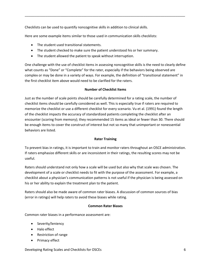Checklists can be used to quantify noncognitive skills in addition to clinical skills.

Here are some example items similar to those used in communication skills checklists:

- The student used transitional statements.
- The student checked to make sure the patient understood his or her summary.
- The student allowed the patient to speak without interruption.

One challenge with the use of checklist items in assessing noncognitive skills is the need to clearly define what counts as "Done" or "Complete" for the rater, especially if the behaviors being observed are complex or may be done in a variety of ways. For example, the definition of "transitional statement" in the first checklist item above would need to be clarified for the raters.

\_\_\_\_\_\_\_\_\_\_\_\_\_\_\_\_\_\_\_\_\_\_\_\_\_\_\_\_\_\_\_\_\_\_\_\_\_\_\_\_\_\_\_\_\_\_\_\_\_\_\_\_\_\_\_\_\_\_\_\_\_\_\_\_\_\_\_\_\_\_\_\_\_\_\_\_\_\_\_\_\_\_\_\_\_

#### **Number of Checklist Items**

Just as the number of scale points should be carefully determined for a rating scale, the number of checklist items should be carefully considered as well. This is especially true if raters are required to memorize the checklist or use a different checklist for every scenario. Vu et al. (1991) found the length of the checklist impacts the accuracy of standardized patients completing the checklist after an encounter (scoring from memory); they recommended 15 items as ideal or fewer than 30. There should be enough items to cover the construct of interest but not so many that unimportant or nonessential behaviors are listed.

#### **Rater Training**

To prevent bias in ratings, it is important to train and monitor raters throughout an OSCE administration. If raters emphasize different skills or are inconsistent in their ratings, the resulting scores may not be useful.

Raters should understand not only how a scale will be used but also why that scale was chosen. The development of a scale or checklist needs to fit with the purpose of the assessment. For example, a checklist about a physician's communication patterns is not useful if the physician is being assessed on his or her ability to explain the treatment plan to the patient.

Raters should also be made aware of common rater biases. A discussion of common sources of bias (error in ratings) will help raters to avoid these biases while rating.

#### **Common Rater Biases**

Common rater biases in a performance assessment are:

- Severity/leniency
- Halo effect
- Restriction of range
- Primacy effect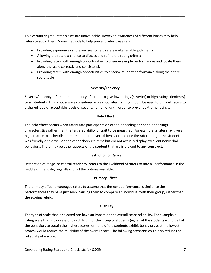To a certain degree, rater biases are unavoidable. However, awareness of different biases may help raters to avoid them. Some methods to help prevent rater biases are:

\_\_\_\_\_\_\_\_\_\_\_\_\_\_\_\_\_\_\_\_\_\_\_\_\_\_\_\_\_\_\_\_\_\_\_\_\_\_\_\_\_\_\_\_\_\_\_\_\_\_\_\_\_\_\_\_\_\_\_\_\_\_\_\_\_\_\_\_\_\_\_\_\_\_\_\_\_\_\_\_\_\_\_\_\_

- Providing experiences and exercises to help raters make reliable judgments
- Allowing the raters a chance to discuss and refine the rating criteria
- Providing raters with enough opportunities to observe sample performances and locate them along the scale correctly and consistently
- Providing raters with enough opportunities to observe student performance along the entire score scale

#### **Severity/Leniency**

Severity/leniency refers to the tendency of a rater to give low ratings (severity) or high ratings (leniency) to all students. This is not always considered a bias but rater training should be used to bring all raters to a shared idea of acceptable levels of severity (or leniency) in order to prevent extreme ratings.

#### **Halo Effect**

The halo effect occurs when raters rate participants on other (appealing or not-so-appealing) characteristics rather than the targeted ability or trait to be measured. For example, a rater may give a higher score to a checklist item related to nonverbal behavior because the rater thought the student was friendly or did well on the other checklist items but did not actually display excellent nonverbal behaviors. There may be other aspects of the student that are irrelevant to any construct.

#### **Restriction of Range**

Restriction of range, or central tendency, refers to the likelihood of raters to rate all performance in the middle of the scale, regardless of all the options available.

#### **Primacy Effect**

The primacy effect encourages raters to assume that the next performance is similar to the performances they have just seen, causing them to compare an individual with their group, rather than the scoring rubric.

#### **Reliability**

The type of scale that is selected can have an impact on the overall score reliability. For example, a rating scale that is too easy or too difficult for the group of students (eg, all of the students exhibit all of the behaviors to obtain the highest scores, or none of the students exhibit behaviors past the lowest scores) would reduce the reliability of the overall score. The following scenarios could also reduce the reliability of a score: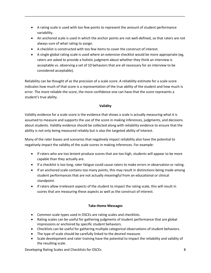A rating scale is used with too few points to represent the amount of student performance variability.

\_\_\_\_\_\_\_\_\_\_\_\_\_\_\_\_\_\_\_\_\_\_\_\_\_\_\_\_\_\_\_\_\_\_\_\_\_\_\_\_\_\_\_\_\_\_\_\_\_\_\_\_\_\_\_\_\_\_\_\_\_\_\_\_\_\_\_\_\_\_\_\_\_\_\_\_\_\_\_\_\_\_\_\_\_

- An anchored scale is used in which the anchor points are not well-defined, so that raters are not always sure of what rating to assign.
- A checklist is constructed with too few items to cover the construct of interest.
- A single global rating scale is used where an extensive checklist would be more appropriate (eg, raters are asked to provide a holistic judgment about whether they think an interview is acceptable vs. observing a set of 10 behaviors that are all necessary for an interview to be considered acceptable).

Reliability can be thought of as the precision of a scale score. A reliability estimate for a scale score indicates how much of that score is a representation of the true ability of the student and how much is error. The more reliable the score, the more confidence one can have that the score represents a student's true ability.

#### **Validity**

Validity evidence for a scale score is the evidence that shows a scale is actually measuring what it is assumed to measure and supports the use of the score in making inferences, judgments, and decisions about students. Validity evidence should be collected along with reliability evidence to ensure that the ability is not only being measured reliably but is also the targeted ability of interest.

Many of the rater biases and scenarios that negatively impact reliability also have the potential to negatively impact the validity of the scale scores in making inferences. For example:

- If raters who are too lenient produce scores that are too high, students will appear to be more capable than they actually are.
- If a checklist is too long, rater fatigue could cause raters to make errors in observation or rating.
- If an anchored scale contains too many points, this may result in distinctions being made among student performances that are not actually meaningful from an educational or clinical standpoint.
- If raters allow irrelevant aspects of the student to impact the rating scale, this will result in scores that are measuring these aspects as well as the construct of interest.

#### **Take-Home Messages**

- Common scale types used in OSCEs are rating scales and checklists.
- Rating scales can be useful for gathering judgments of student performance that are global impressions or anchored by specific student behaviors.
- Checklists can be useful for gathering multiple categorical observations of student behaviors.
- The type of scale should be carefully linked to the desired measure.
- Scale development and rater training have the potential to impact the reliability and validity of the resulting scale.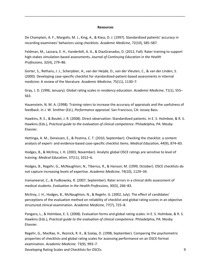#### **Resources**

\_\_\_\_\_\_\_\_\_\_\_\_\_\_\_\_\_\_\_\_\_\_\_\_\_\_\_\_\_\_\_\_\_\_\_\_\_\_\_\_\_\_\_\_\_\_\_\_\_\_\_\_\_\_\_\_\_\_\_\_\_\_\_\_\_\_\_\_\_\_\_\_\_\_\_\_\_\_\_\_\_\_\_\_\_

De Champlain, A. F., Margolis, M. J., King, A., & Klass, D. J. (1997). Standardized patients' accuracy in recording examinees' behaviors using checklists. *Academic Medicine*, 72(10), S85–S87.

[Feldman,](http://www.ncbi.nlm.nih.gov/pubmed?term=Feldman%20M%5BAuthor%5D&cauthor=true&cauthor_uid=23280532) M., [Lazzara,](http://www.ncbi.nlm.nih.gov/pubmed?term=Lazzara%20EH%5BAuthor%5D&cauthor=true&cauthor_uid=23280532) E. H., [Vanderbilt,](http://www.ncbi.nlm.nih.gov/pubmed?term=Vanderbilt%20AA%5BAuthor%5D&cauthor=true&cauthor_uid=23280532) A. A., & [DiazGranados,](http://www.ncbi.nlm.nih.gov/pubmed?term=DiazGranados%20D%5BAuthor%5D&cauthor=true&cauthor_uid=23280532) D. (2012, Fall). Rater training to support high-stakes simulation-based assessments**.** *[Journal of Continuing Education in the Health](http://www.ncbi.nlm.nih.gov/pubmed/23280532)  [Prof](http://www.ncbi.nlm.nih.gov/pubmed/23280532)essions*, 32(4), 279–86.

Gorter, S., Rethans, J. J., Scherpbier, A., van der Heijde, D., van der Vleuten, C., & van der Linden, S. (2000). Developing case-specific checklist for standardized-patient-based assessments in internal medicine: A review of the literature. *Academic Medicine*, 75(11), 1130–7.

Gray, J. D. (1996, January). Global rating scales in residency education. *Academic Medicine*, 71(1), S55– S63.

Hauenstein, N. M. A. (1998). Training raters to increase the accuracy of appraisals and the usefulness of feedback. In J. W. Smither (Ed.), *Performance appraisal*. San Francisco, CA: Jossey Bass.

Hawkins, R. E., & Boulet, J. R. (2008). Direct observation: Standardized patients. In E. S. Holmboe, & R. S. Hawkins (Eds.), *Practical guide to the evaluation of clinical competence*. Philadelphia, PA: Mosby Elsevier.

[Hettinga,](http://www.ncbi.nlm.nih.gov/pubmed?term=Hettinga%20AM%5BAuthor%5D&cauthor=true&cauthor_uid=20716097) A. M., [Denessen,](http://www.ncbi.nlm.nih.gov/pubmed?term=Denessen%20E%5BAuthor%5D&cauthor=true&cauthor_uid=20716097) E., [& Postma,](http://www.ncbi.nlm.nih.gov/pubmed?term=Postma%20CT%5BAuthor%5D&cauthor=true&cauthor_uid=20716097) C. T. (2010, September). Checking the checklist: a content analysis of expert- and evidence-based case-specific checklist items. *[Medical Education](http://www.ncbi.nlm.nih.gov/pubmed/14629415)*, 44(9), 874–83.

[Hodges,](http://www.ncbi.nlm.nih.gov/pubmed?term=Hodges%20B%5BAuthor%5D&cauthor=true&cauthor_uid=14629415) B., [& McIlroy,](http://www.ncbi.nlm.nih.gov/pubmed?term=McIlroy%20JH%5BAuthor%5D&cauthor=true&cauthor_uid=14629415) J. H. (2003, November). Analytic global OSCE ratings are sensitive to level of training. *[Medical Education](http://www.ncbi.nlm.nih.gov/pubmed/14629415)*, 37(11), 1012–6.

[Hodges,](http://www.ncbi.nlm.nih.gov/pubmed?term=Hodges%20B%5BAuthor%5D&cauthor=true&cauthor_uid=10536636) B., [Regehr,](http://www.ncbi.nlm.nih.gov/pubmed?term=Regehr%20G%5BAuthor%5D&cauthor=true&cauthor_uid=10536636) G., [McNaughton,](http://www.ncbi.nlm.nih.gov/pubmed?term=McNaughton%20N%5BAuthor%5D&cauthor=true&cauthor_uid=10536636) N., [Tiberius,](http://www.ncbi.nlm.nih.gov/pubmed?term=Tiberius%20R%5BAuthor%5D&cauthor=true&cauthor_uid=10536636) R., & [Hanson,](http://www.ncbi.nlm.nih.gov/pubmed?term=Hanson%20M%5BAuthor%5D&cauthor=true&cauthor_uid=10536636) M. (1999, October). OSCE checklists do not capture increasing levels of expertise. *Academic Medicine*, 74(10), 1129–34.

[Iramaneerat,](http://www.ncbi.nlm.nih.gov/pubmed?term=Iramaneerat%20C%5BAuthor%5D&cauthor=true&cauthor_uid=17693619) C., [& Yudkowsky,](http://www.ncbi.nlm.nih.gov/pubmed?term=Yudkowsky%20R%5BAuthor%5D&cauthor=true&cauthor_uid=17693619) R. (2007, September). Rater errors in a clinical skills assessment of medical students. *[Evaluation in the Health Professions](http://www.ncbi.nlm.nih.gov/pubmed/17693619)*, 30(3), 266–83.

[McIlroy,](http://www.ncbi.nlm.nih.gov/pubmed?term=McIlroy%20JH%5BAuthor%5D&cauthor=true&cauthor_uid=12114150) J. H., [Hodges,](http://www.ncbi.nlm.nih.gov/pubmed?term=Hodges%20B%5BAuthor%5D&cauthor=true&cauthor_uid=12114150) B., [McNaughton,](http://www.ncbi.nlm.nih.gov/pubmed?term=McNaughton%20N%5BAuthor%5D&cauthor=true&cauthor_uid=12114150) N., & [Regehr,](http://www.ncbi.nlm.nih.gov/pubmed?term=Regehr%20G%5BAuthor%5D&cauthor=true&cauthor_uid=12114150) G. (2002, July). The effect of candidates' perceptions of the evaluation method on reliability of checklist and global rating scores in an objective structured clinical examination. *Academic Medicine*, 77(7), 725–8.

Pangaro, L., & Holmboe, E. S. (2008). Evaluation forms and global rating scales. In E. S. Holmboe, & R. S. Hawkins (Eds.), *Practical guide to the evaluation of clinical competence*. Philadelphia, PA: Mosby Elsevier.

[Regehr,](http://www.ncbi.nlm.nih.gov/pubmed?term=Regehr%20G%5BAuthor%5D&cauthor=true&cauthor_uid=9759104) G., [MacRae,](http://www.ncbi.nlm.nih.gov/pubmed?term=MacRae%20H%5BAuthor%5D&cauthor=true&cauthor_uid=9759104) H., [Reznick,](http://www.ncbi.nlm.nih.gov/pubmed?term=Reznick%20RK%5BAuthor%5D&cauthor=true&cauthor_uid=9759104) R. K., & [Szalay,](http://www.ncbi.nlm.nih.gov/pubmed?term=Szalay%20D%5BAuthor%5D&cauthor=true&cauthor_uid=9759104) D. (1998, September). Comparing the psychometric properties of checklists and global rating scales for assessing performance on an OSCE-format examination. *Academic Medicine*. 73(9), 993–7.